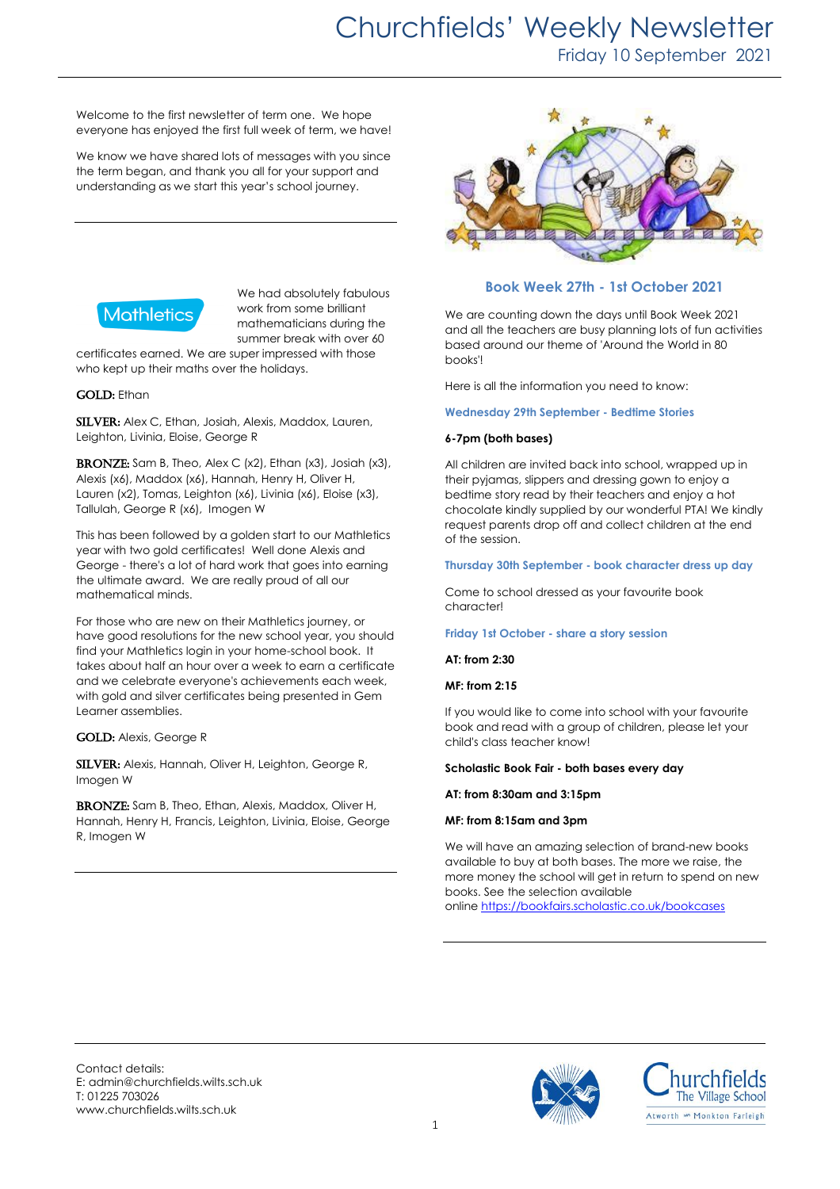# Churchfields' Weekly Newsletter

Friday 10 September 2021

Welcome to the first newsletter of term one. We hope everyone has enjoyed the first full week of term, we have!

We know we have shared lots of messages with you since the term began, and thank you all for your support and understanding as we start this year's school journey.



We had absolutely fabulous work from some brilliant mathematicians during the summer break with over 60

certificates earned. We are super impressed with those who kept up their maths over the holidays.

#### **GOLD:** Ethan

SILVER: Alex C, Ethan, Josiah, Alexis, Maddox, Lauren, Leighton, Livinia, Eloise, George R

BRONZE: Sam B, Theo, Alex C (x2), Ethan (x3), Josiah (x3), Alexis (x6), Maddox (x6), Hannah, Henry H, Oliver H, Lauren (x2), Tomas, Leighton (x6), Livinia (x6), Eloise (x3), Tallulah, George R (x6), Imogen W

This has been followed by a golden start to our Mathletics year with two gold certificates! Well done Alexis and George - there's a lot of hard work that goes into earning the ultimate award. We are really proud of all our mathematical minds.

For those who are new on their Mathletics journey, or have good resolutions for the new school year, you should find your Mathletics login in your home-school book. It takes about half an hour over a week to earn a certificate and we celebrate everyone's achievements each week, with gold and silver certificates being presented in Gem Learner assemblies.

#### GOLD: Alexis, George R

SILVER: Alexis, Hannah, Oliver H, Leighton, George R, Imogen W

BRONZE: Sam B, Theo, Ethan, Alexis, Maddox, Oliver H, Hannah, Henry H, Francis, Leighton, Livinia, Eloise, George R, Imogen W



### **Book Week 27th - 1st October 2021**

We are counting down the days until Book Week 2021 and all the teachers are busy planning lots of fun activities based around our theme of 'Around the World in 80 books'!

Here is all the information you need to know:

#### **Wednesday 29th September - Bedtime Stories**

#### **6-7pm (both bases)**

All children are invited back into school, wrapped up in their pyjamas, slippers and dressing gown to enjoy a bedtime story read by their teachers and enjoy a hot chocolate kindly supplied by our wonderful PTA! We kindly request parents drop off and collect children at the end of the session.

#### **Thursday 30th September - book character dress up day**

Come to school dressed as your favourite book character!

#### **Friday 1st October - share a story session**

**AT: from 2:30**

#### **MF: from 2:15**

If you would like to come into school with your favourite book and read with a group of children, please let your child's class teacher know!

#### **Scholastic Book Fair - both bases every day**

#### **AT: from 8:30am and 3:15pm**

#### **MF: from 8:15am and 3pm**

We will have an amazing selection of brand-new books available to buy at both bases. The more we raise, the more money the school will get in return to spend on new books. See the selection available

online <https://bookfairs.scholastic.co.uk/bookcases>

Contact details: E: admin@churchfields.wilts.sch.uk T: 01225 703026 www.churchfields.wilts.sch.uk



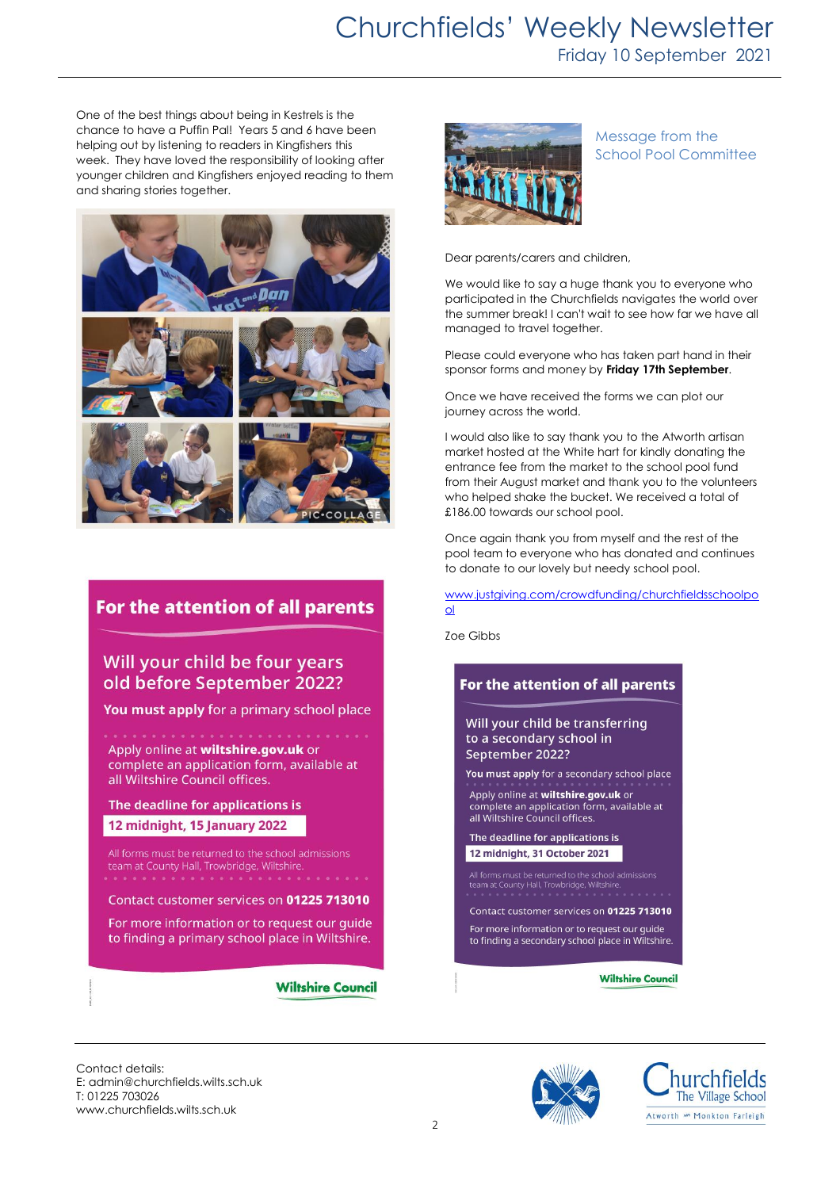# Churchfields' Weekly Newsletter

Friday 10 September 2021

One of the best things about being in Kestrels is the chance to have a Puffin Pal! Years 5 and 6 have been helping out by listening to readers in Kingfishers this week. They have loved the responsibility of looking after younger children and Kingfishers enjoyed reading to them and sharing stories together.



## For the attention of all parents

## Will your child be four years old before September 2022?

You must apply for a primary school place

Apply online at wiltshire.gov.uk or complete an application form, available at all Wiltshire Council offices.

The deadline for applications is 12 midnight, 15 January 2022

All forms must be returned to the school admissions team at County Hall, Trowbridge, Wiltshire.

Contact customer services on 01225 713010

For more information or to request our guide to finding a primary school place in Wiltshire.

**Wiltshire Council** 



### Message from the School Pool Committee

Dear parents/carers and children,

We would like to say a huge thank you to everyone who participated in the Churchfields navigates the world over the summer break! I can't wait to see how far we have all managed to travel together.

Please could everyone who has taken part hand in their sponsor forms and money by **Friday 17th September**.

Once we have received the forms we can plot our journey across the world.

I would also like to say thank you to the Atworth artisan market hosted at the White hart for kindly donating the entrance fee from the market to the school pool fund from their August market and thank you to the volunteers who helped shake the bucket. We received a total of £186.00 towards our school pool.

Once again thank you from myself and the rest of the pool team to everyone who has donated and continues to donate to our lovely but needy school pool.

[www.justgiving.com/crowdfunding/churchfieldsschoolpo](http://www.justgiving.com/crowdfunding/churchfieldsschoolpool) [ol](http://www.justgiving.com/crowdfunding/churchfieldsschoolpool)

Zoe Gibbs



Contact details: E: admin@churchfields.wilts.sch.uk T: 01225 703026 www.churchfields.wilts.sch.uk